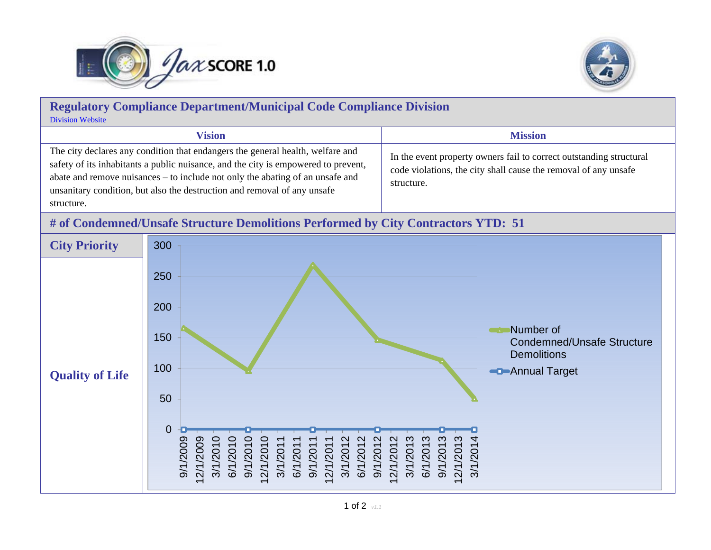



## **Regulatory Compliance Department/Municipal Code Compliance Division** [Division Website](http://www.coj.net/departments/neighborhoods/municipal-code-compliance.aspx)**Vision Mission** The city declares any condition that endangers the general health, welfare and safety of its inhabitants a public nuisance, and the city is empowered to prevent, abate and remove nuisances – to include not only the abating of an unsafe and unsanitary condition, but also the destruction and removal of any unsafe structure. In the event property owners fail to correct outstanding structural code violations, the city shall cause the removal of any unsafe structure.

## **# of Condemned/Unsafe Structure Demolitions Performed by City Contractors YTD: 51**